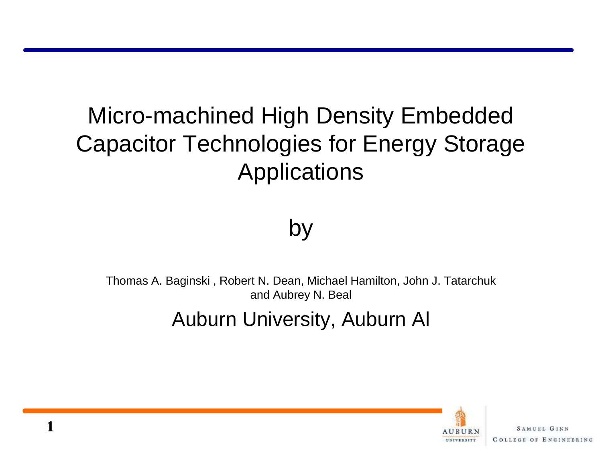# Micro-machined High Density Embedded Capacitor Technologies for Energy Storage **Applications**

#### by

Thomas A. Baginski , Robert N. Dean, Michael Hamilton, John J. Tatarchuk and Aubrey N. Beal

#### Auburn University, Auburn Al

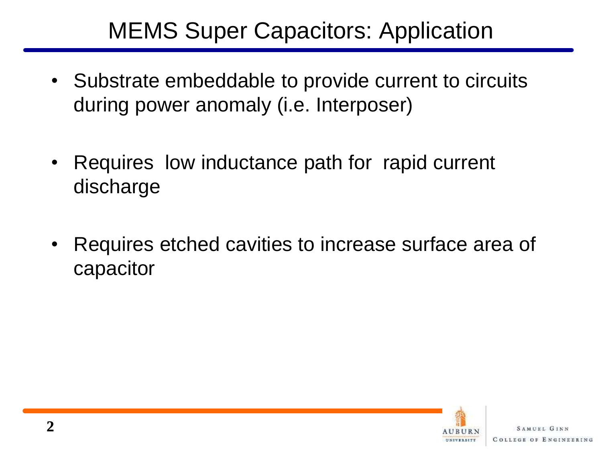## MEMS Super Capacitors: Application

- Substrate embeddable to provide current to circuits during power anomaly (i.e. Interposer)
- Requires low inductance path for rapid current discharge
- Requires etched cavities to increase surface area of capacitor

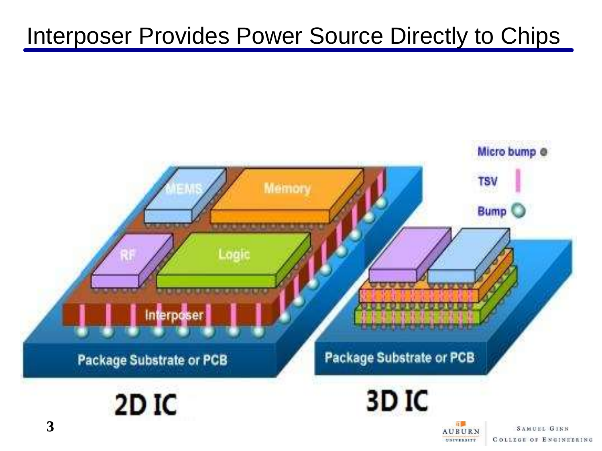#### Interposer Provides Power Source Directly to Chips



UNIVERSITY

**COLLEGE OF ENGINEERING**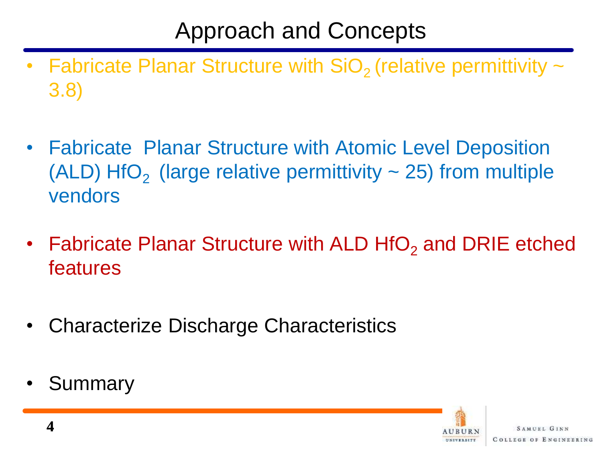## Approach and Concepts

- **Fabricate Planar Structure with SiO<sub>2</sub>** (relative permittivity  $\sim$ 3.8)
- Fabricate Planar Structure with Atomic Level Deposition (ALD) HfO<sub>2</sub> (large relative permittivity  $\sim$  25) from multiple vendors
- Fabricate Planar Structure with ALD HfO<sub>2</sub> and DRIE etched features
- Characterize Discharge Characteristics
- **Summary**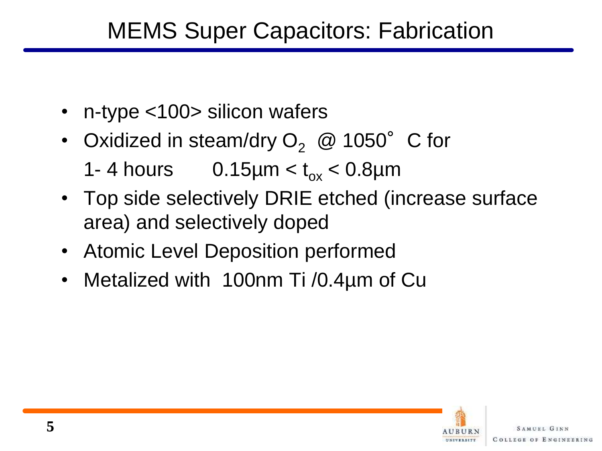## MEMS Super Capacitors: Fabrication

- n-type <100> silicon wafers
- Oxidized in steam/dry  $O_2 \text{ } @$  1050° C for 1- 4 hours 0.15 $\mu$ m <  $t_{ox}$  < 0.8 $\mu$ m
- Top side selectively DRIE etched (increase surface area) and selectively doped
- Atomic Level Deposition performed
- Metalized with 100nm Ti /0.4µm of Cu

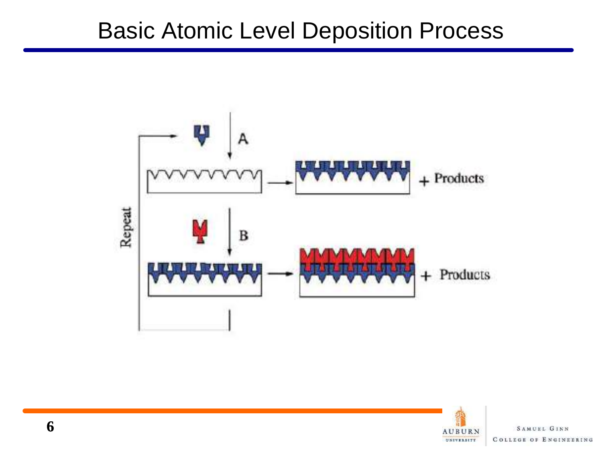#### Basic Atomic Level Deposition Process



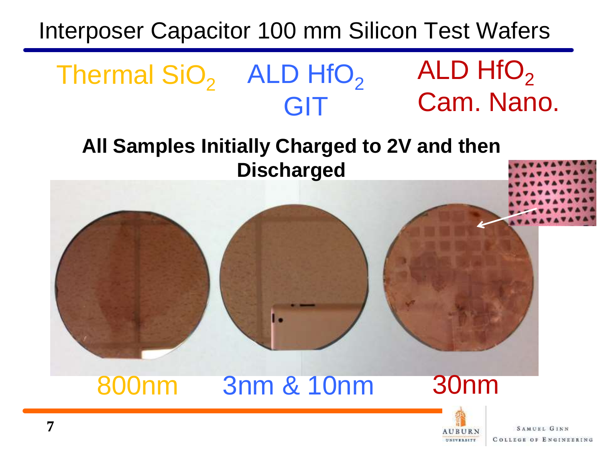## Interposer Capacitor 100 mm Silicon Test Wafers

Thermal  $SiO<sub>2</sub>$  ALD HfO<sub>2</sub>

**All Samples Initially Charged to 2V and then Discharged**

GIT



**AUBURN** UNIVERSITY

**SAMUEL GINN COLLEGE OF ENGINEERING** 

ALD  $HfO<sub>2</sub>$ 

Cam. Nano.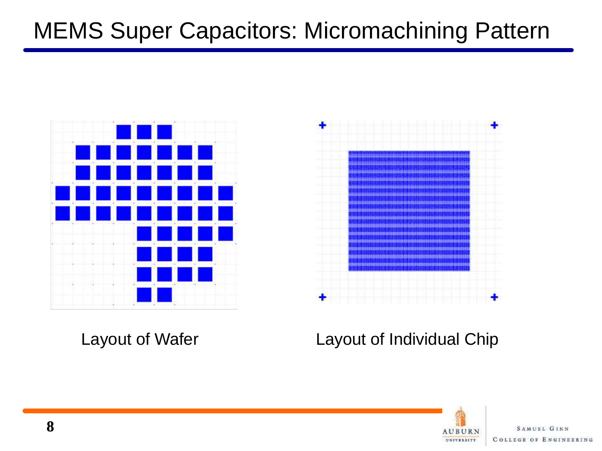## MEMS Super Capacitors: Micromachining Pattern





#### Layout of Wafer Layout of Individual Chip

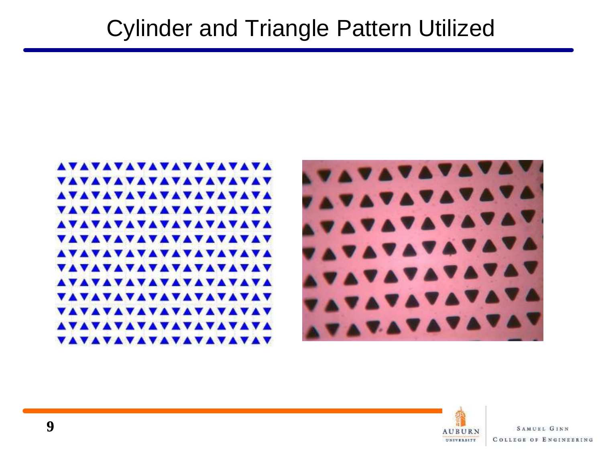



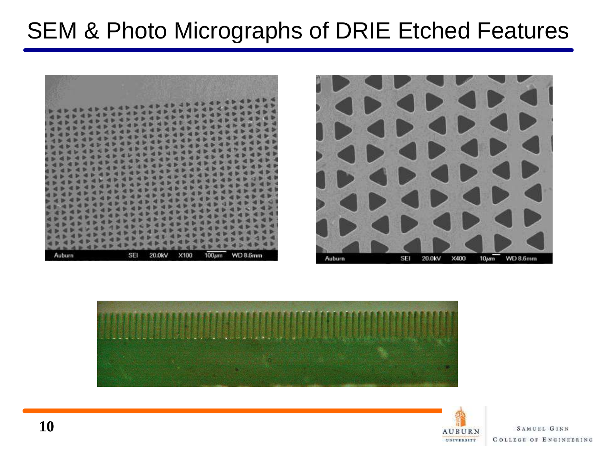## SEM & Photo Micrographs of DRIE Etched Features







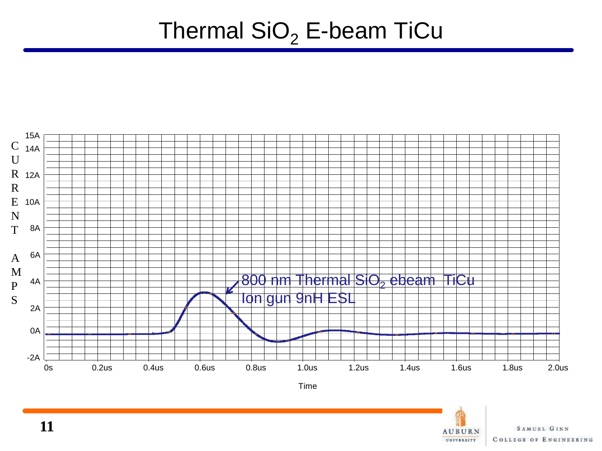#### Thermal  $SiO<sub>2</sub>$  E-beam TiCu



Time

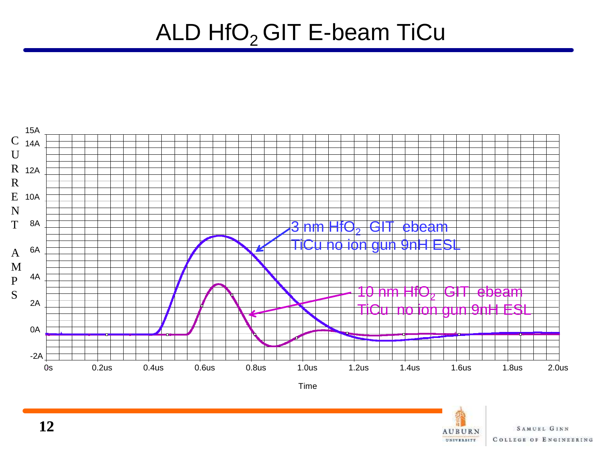## ALD  $HfO<sub>2</sub>$  GIT E-beam TiCu



Time

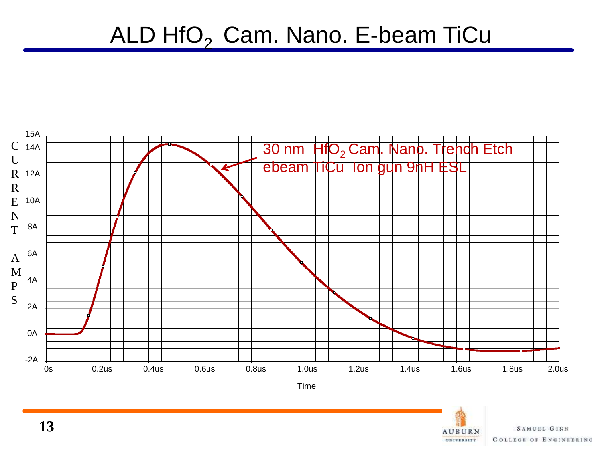#### ALD  $HfO<sub>2</sub>$  Cam. Nano. E-beam TiCu



Time

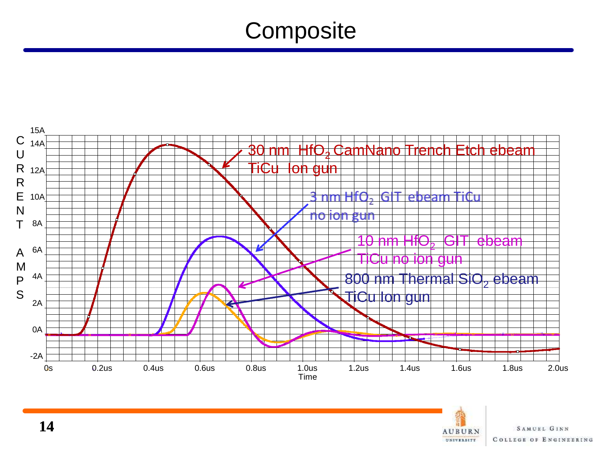## **Composite**



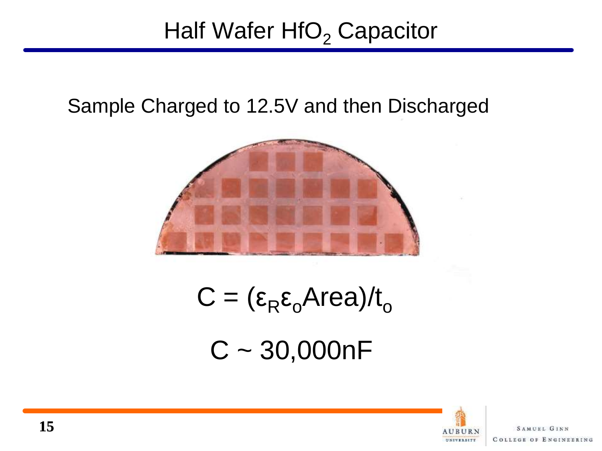## Half Wafer  $HfO<sub>2</sub>$  Capacitor

#### Sample Charged to 12.5V and then Discharged



 $C = (\epsilon_R \epsilon_o Area)/t_o$  $C \sim 30,000nF$ 

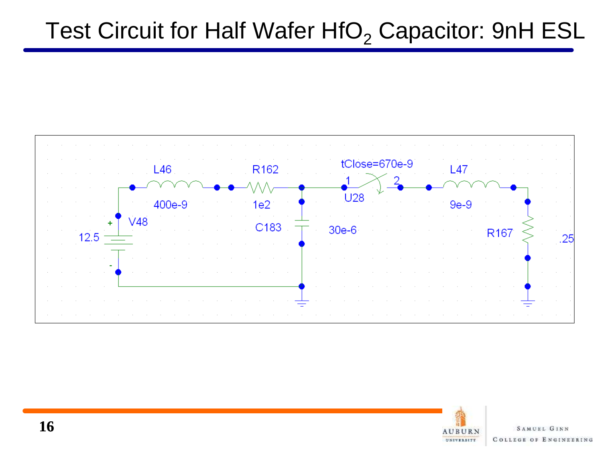## Test Circuit for Half Wafer  $HfO<sub>2</sub>$  Capacitor: 9nH ESL



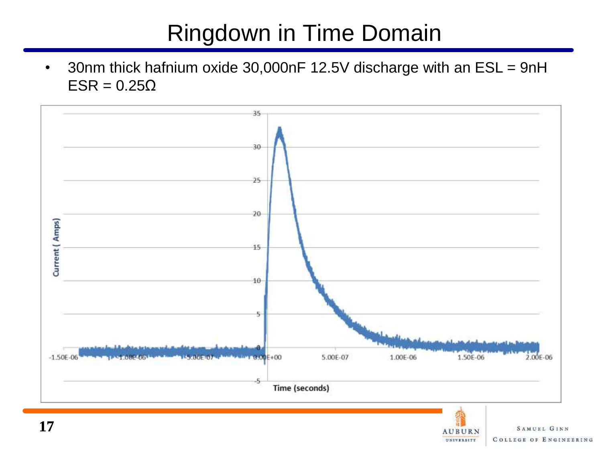## Ringdown in Time Domain

• 30nm thick hafnium oxide 30,000nF 12.5V discharge with an ESL = 9nH ESR =  $0.25Ω$ 



**SAMUEL GINN** 

**COLLEGE OF ENGINEERING** 

**AUBURN** UNIVERSITY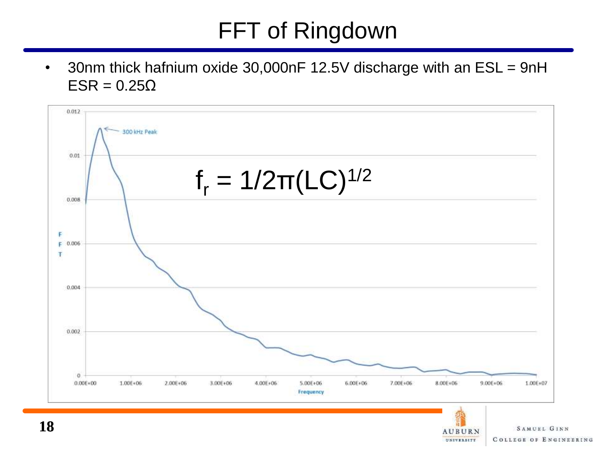# FFT of Ringdown

• 30nm thick hafnium oxide 30,000nF 12.5V discharge with an ESL = 9nH  $ESR = 0.25\Omega$ 



**AUBURN** UNIVERSITY

**COLLEGE OF ENGINEERING**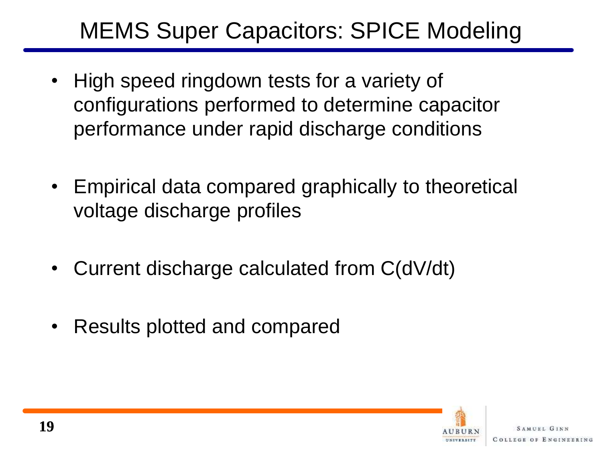## MEMS Super Capacitors: SPICE Modeling

- High speed ringdown tests for a variety of configurations performed to determine capacitor performance under rapid discharge conditions
- Empirical data compared graphically to theoretical voltage discharge profiles
- Current discharge calculated from C(dV/dt)
- Results plotted and compared

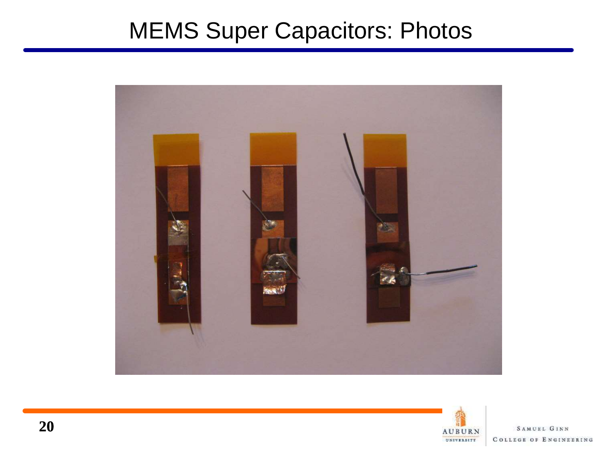## MEMS Super Capacitors: Photos



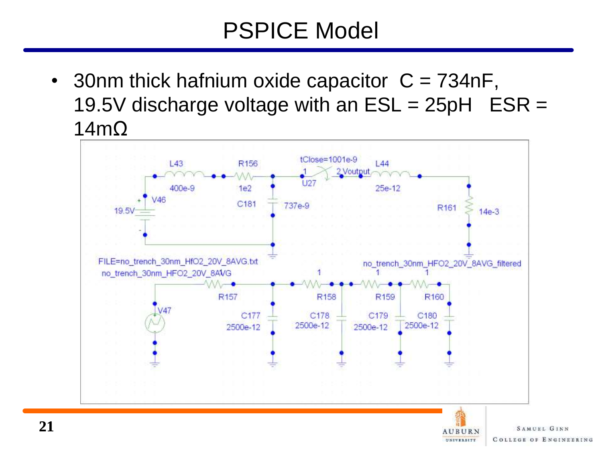## PSPICE Model

• 30nm thick hafnium oxide capacitor  $C = 734$ nF, 19.5V discharge voltage with an  $ESL = 25pH$   $ESR =$ 14mΩ



UNIVERSITY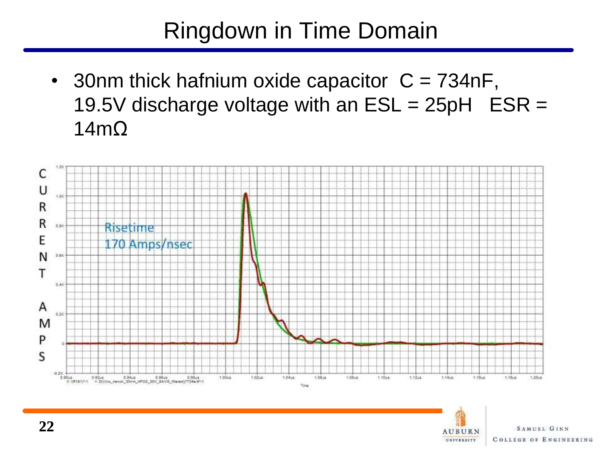## Ringdown in Time Domain

• 30nm thick hafnium oxide capacitor  $C = 734$ nF, 19.5V discharge voltage with an  $ESL = 25pH$   $ESR =$ 14mΩ